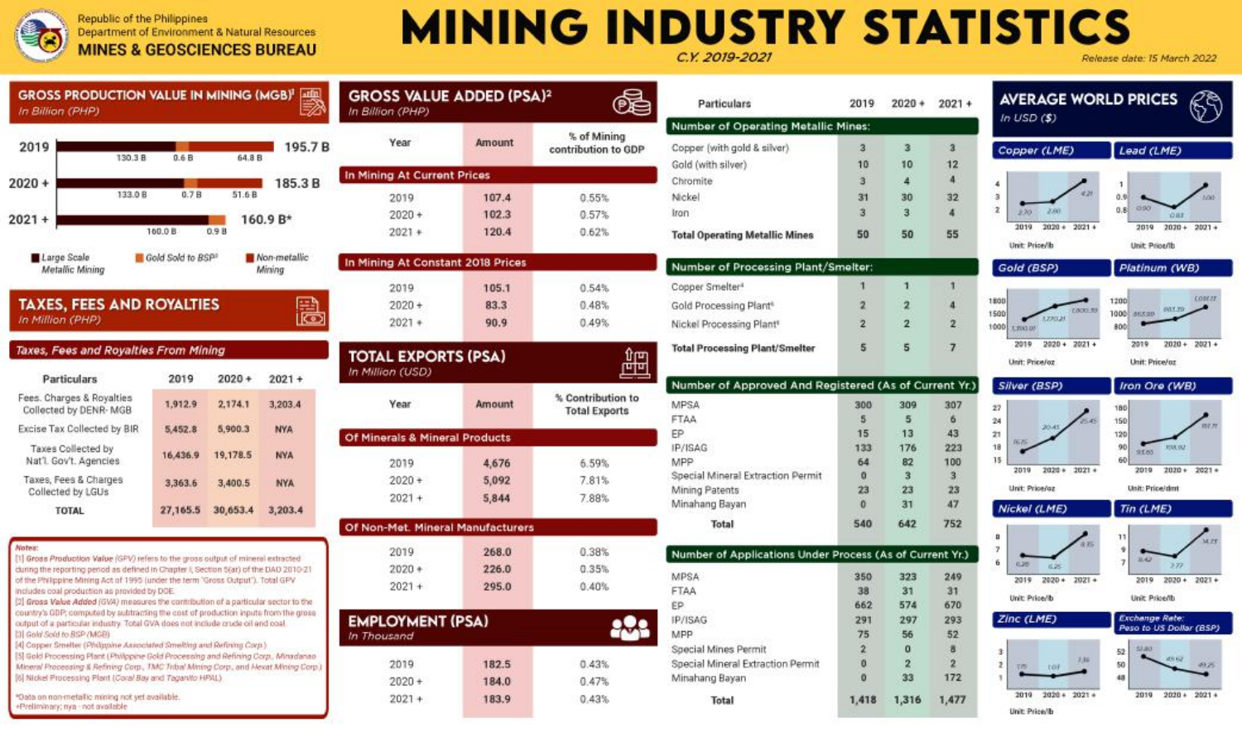$2020 +$  $2021 +$ 

Republic of the Philippines Department of Environment & Natural Resources **MINES & GEOSCIENCES BUREAU** 

## **MINING INDUSTRY STATISTICS** C.Y. 2019-202 late: 15 March 2022

Particulars

| <b>GROSS PRODUCTION VALUE IN MINING (MGB)<sup>1</sup></b><br>In Billion (PHP)                                                                                             |                   |          | atin                   | <b>GROSS VALUE ADDED (PSA)2</b><br>In Billion (PHP) |                             |            |  |  |  |  |
|---------------------------------------------------------------------------------------------------------------------------------------------------------------------------|-------------------|----------|------------------------|-----------------------------------------------------|-----------------------------|------------|--|--|--|--|
| 2019<br>130.3 B                                                                                                                                                           | 0.6B              | 64.8 B   | 195.7B                 | Year                                                | <b>Amount</b>               | ġ<br>contr |  |  |  |  |
| $020 +$                                                                                                                                                                   |                   |          | 185.3B                 |                                                     | In Mining At Current Prices |            |  |  |  |  |
| 133.0 B                                                                                                                                                                   | 0.7B              | 51.6 B   |                        | 2019                                                | 107.4                       |            |  |  |  |  |
| $021 +$                                                                                                                                                                   | 160.0 B           | 0.9B     | 160.9 B*               | $2020 +$<br>$2021 +$                                | 102.3<br>120.4              |            |  |  |  |  |
| Large Scale<br>Metallic Mining                                                                                                                                            | Gold Sold to BSP1 |          | Non-metallic<br>Mining | In Mining At Constant 2018 Prices                   |                             |            |  |  |  |  |
| <b>TAXES, FEES AND ROYALTIES</b><br>In Million (PHP)                                                                                                                      |                   |          | lœ                     | 2019<br>$2020 +$<br>$2021 +$                        | 105.1<br>83.3<br>90.9       |            |  |  |  |  |
| Taxes, Fees and Rovalties From Mining<br>Particulars                                                                                                                      | 2019              | $2020 +$ | $2021 +$               | <b>TOTAL EXPORTS (PSA)</b><br>In Million (USD)      |                             |            |  |  |  |  |
| Fees. Charges & Royalties<br>Collected by DENR- MGB                                                                                                                       | 1,912.9           | 2.174.1  | 3,203.4                | Year                                                | Amount                      | % C<br>To  |  |  |  |  |
| Excise Tax Collected by BIR                                                                                                                                               | 5.452.8           | 5,900.3  | <b>NYA</b>             | Of Minerals & Mineral Products                      |                             |            |  |  |  |  |
| Taxes Collected by<br>Nat'l, Goy't, Agencies                                                                                                                              | 16,436.9          | 19,178.5 | <b>NYA</b>             | 2019                                                | 4,676                       |            |  |  |  |  |
| Taxes, Fees & Charges<br>Collected by LGUs                                                                                                                                | 3,363.6           | 3,400.5  | <b>NYA</b>             | $2020 +$<br>$2021 +$                                | 5.092<br>5,844              |            |  |  |  |  |
| <b>TOTAL</b>                                                                                                                                                              | 27,165.5          | 30,653.4 | 3,203.4                | Of Non-Met. Mineral Manufacturers                   |                             |            |  |  |  |  |
| Notes:                                                                                                                                                                    |                   |          |                        | 2019                                                | 268.0                       |            |  |  |  |  |
| [1] Gross Production Value (GPV) refers to the gross output of mineral extracted<br>during the reporting period as defined in Chapter I, Section 5(ar) of the DAO 2010-21 |                   |          |                        | $2020 +$                                            | 226.0                       |            |  |  |  |  |
| of the Philippine Mining Act of 1995 (under the term 'Gross Output'). Total GPV<br>includes and escalasting as application fully                                          |                   |          |                        | $2021 +$                                            | 295.0                       |            |  |  |  |  |

**EMPLOYMENT (PSA)** 

2019

 $2020 +$ 

 $2021 +$ 

184.0

183.9

 $0.47%$ 

0.43%

In Thousand

| includes coal production as provided by DOE.                                        |
|-------------------------------------------------------------------------------------|
| [2] Gross Value Added (GVA) measures the contribution of a particular sector to the |
| country's GDP; computed by subtracting the cost of production inputs from the gross |
| output of a particular industry. Total GVA does not include crude oil and coal.     |
| [3] Gold Sold to BSP (MGB)                                                          |

[4] Copper Smelter (Philippine Associated Smelting and Refining Corp.) [5] Gold Processing Plant (Philopine Gold Processing and Refining Corp., Minadanao Mineral Processing & Refining Corp., TMC Tobal Mining Corp., and Hexat Mining Corp. [6] Nickel Processing Plant (Coral Bay and Taganito HPAL)

\*Data on non-metallic mining not vet available +Preliminary; nya - not available

|                      |                                           | Number of Operating Metallic M                      |  |  |  |  |  |
|----------------------|-------------------------------------------|-----------------------------------------------------|--|--|--|--|--|
| <i><b>Imount</b></i> | % of Mining<br>contribution to GDP        | Copper (with gold & silver).                        |  |  |  |  |  |
| as                   |                                           | Gold (with silver)<br>Chromite                      |  |  |  |  |  |
| 107.4                | 0.55%                                     | Nickel                                              |  |  |  |  |  |
| 102.3                | 0.57%                                     | Iron                                                |  |  |  |  |  |
| 120.4                |                                           |                                                     |  |  |  |  |  |
|                      | 0.62%                                     | <b>Total Operating Metallic Mines</b>               |  |  |  |  |  |
| <b>18 Prices</b>     |                                           | Number of Processing Plant/Sm                       |  |  |  |  |  |
| 105.1                | 0.54%                                     | Cooper Smelter <sup>4</sup>                         |  |  |  |  |  |
| 83.3                 | 0.48%                                     | Gold Processing Plant®                              |  |  |  |  |  |
| 90.9                 | 0.49%                                     | Nickel Processing Plant®                            |  |  |  |  |  |
| <b>SA)</b>           |                                           | <b>Total Processing Plant/Smelter</b>               |  |  |  |  |  |
|                      |                                           | Number of Approved And Regis                        |  |  |  |  |  |
| Imount               | % Contribution to<br><b>Total Exports</b> | <b>MPSA</b><br><b>FTAA</b>                          |  |  |  |  |  |
| ducts                |                                           | FP                                                  |  |  |  |  |  |
|                      |                                           | IP/ISAG                                             |  |  |  |  |  |
| 4.676                | 6.59%                                     | MPP                                                 |  |  |  |  |  |
| 5,092                | 7.81%                                     | Special Mineral Extraction Permit<br>Mining Patents |  |  |  |  |  |
| 5,844                | 7.88%                                     | Minahang Bayan                                      |  |  |  |  |  |
| ufacturers           |                                           | Total                                               |  |  |  |  |  |
| 268.0                | 0.38%                                     | <b>Number of Applications Under Pr</b>              |  |  |  |  |  |
| 226.0                | 0.35%                                     | MPSA                                                |  |  |  |  |  |
| 295.0                | 0.40%                                     | FTAA                                                |  |  |  |  |  |
|                      |                                           | EP.                                                 |  |  |  |  |  |
| ð                    |                                           | <b>IP/ISAG</b>                                      |  |  |  |  |  |
|                      |                                           | MPP                                                 |  |  |  |  |  |
|                      |                                           | Special Mines Permit                                |  |  |  |  |  |
| 182.5                | 0.43%                                     | Special Mineral Extraction Permit                   |  |  |  |  |  |

Minahang Bayan

Total

鱪

| z                                        |                |                         |                      |                                        | release aate, is mar      |
|------------------------------------------|----------------|-------------------------|----------------------|----------------------------------------|---------------------------|
|                                          | 2019           | $2020 +$                | $2021 +$             | <b>AVERAGE WORLD PRICES</b>            |                           |
| <b>Iting Metallic Mines:</b>             |                |                         |                      | In <b>USD</b> (S)                      |                           |
| silver)                                  | $\overline{a}$ | $\overline{3}$          | $\overline{a}$       | Copper (LME)                           | Lead (LME)                |
|                                          | 10<br>ā        | 10<br>$\overline{4}$    | 12<br>$\overline{4}$ |                                        |                           |
|                                          |                |                         |                      | 4<br>221<br>$\overline{\phantom{a}}$   | $\mathbf{1}$<br>0.91      |
|                                          | 31<br>3        | 30<br>3                 | 32<br>4              | $\overline{\mathbf{z}}$<br>2.60<br>270 | 090<br>0.8                |
|                                          |                |                         |                      | 2019<br>$2020 + 2021 +$                | <b>DE</b><br>2019<br>2021 |
| allic Mines                              | 50             | 50                      | 55                   | Unit: Price/Ib                         | Unit: Price/Ib            |
| ssing Plant/Smelter:                     |                |                         |                      | Gold (BSP)                             | Platinum (1               |
|                                          | 1              | $\mathbf{1}$            | 1                    |                                        |                           |
| 'n۴                                      | 2              | $\overline{\mathbf{2}}$ | 4                    | 1800                                   | 1200                      |
| ant <sup>e</sup>                         | $\overline{2}$ | $\overline{2}$          | $\overline{2}$       | LOO(2,3)<br>1500<br>1,220,21           | par:<br>1000 86530        |
|                                          |                |                         |                      | 1000<br><b>LENSON</b>                  | sool                      |
| <b>Int/Smelter</b>                       | 5              | 5                       | $\overline{ }$       | 2019<br>$2020 +$<br>$2021 +$           | 2019<br>2021              |
|                                          |                |                         |                      | Unit: Price/oz                         | <b>Unit: Price/or</b>     |
| oved And Registered (As of Current Yr.)  |                |                         |                      | Silver (BSP)                           | Iron Ore (V               |
|                                          | 300            | 309                     | 307                  | $\overline{27}$                        | 180                       |
|                                          | 5              | 5                       | 6                    | 24<br>20:45                            | 150                       |
|                                          | 15             | 13                      | 43                   | $\overline{21}$<br>W <sub>2</sub>      | 120                       |
|                                          | 133            | 176                     | 223                  | 18                                     | 90<br><b>REAL</b><br>9585 |
|                                          | 64             | 82                      | 100                  | 15<br>2019<br>$2020 +$<br>$2021 +$     | 60<br>2021<br>2019        |
| sction Permit                            | $\Omega$       | $\overline{\mathbf{3}}$ | 3                    |                                        |                           |
|                                          | 23             | 23                      | 23                   | Unit: Price/az                         | Unit: Price/dmt           |
|                                          | $\Omega$       | 31                      | 47                   | Nickel (LME)                           | Tin (LME)                 |
|                                          | 540            | 642                     | 752                  | a                                      | 11                        |
| ations Under Process (As of Current Yr.) |                |                         |                      | A-W-<br>7                              | ٠<br>11.42                |
|                                          |                |                         |                      | 6<br>0.25%<br><b>K25</b>               | $\overline{z}$<br>29      |
|                                          | 350            | 323                     | 249                  | $2020 +$<br>2019<br>$2021 +$           | 2019<br>2020              |
|                                          | 38<br>662      | 31<br>574               | 31<br>670            | Unit: Price/Ib                         | Unit: Price/Ib.           |
|                                          | 291            | 297                     | 293                  | Zinc (LME)                             | Exchange Rati             |
|                                          | 75             | 56                      | 52                   |                                        | Peso to US Do             |
|                                          |                |                         |                      | 1989                                   | <b>ALC</b>                |

e  $\overline{2}$  $\overline{2}$  $\overline{\phantom{a}}$ 

 $\Omega$ 

1.418 1.316 1.477

 $33$ 172



 $2019$   $2020 + 2021 +$ Unit Printfb

 $100227$ 

 $2020 + 2021 +$ 2019

latinum (WB)

n Ore (WB)

**RMAN**  $2585$ 

 $2010$   $2020 + 2021 +$ 



Unit: Price/Ib